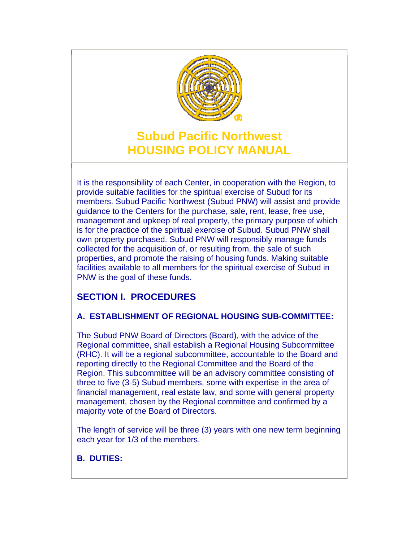

# **Subud Pacific Northwest HOUSING POLICY MANUAL**

It is the responsibility of each Center, in cooperation with the Region, to provide suitable facilities for the spiritual exercise of Subud for its members. Subud Pacific Northwest (Subud PNW) will assist and provide guidance to the Centers for the purchase, sale, rent, lease, free use, management and upkeep of real property, the primary purpose of which is for the practice of the spiritual exercise of Subud. Subud PNW shall own property purchased. Subud PNW will responsibly manage funds collected for the acquisition of, or resulting from, the sale of such properties, and promote the raising of housing funds. Making suitable facilities available to all members for the spiritual exercise of Subud in PNW is the goal of these funds.

# **SECTION I. PROCEDURES**

# **A. ESTABLISHMENT OF REGIONAL HOUSING SUB-COMMITTEE:**

The Subud PNW Board of Directors (Board), with the advice of the Regional committee, shall establish a Regional Housing Subcommittee (RHC). It will be a regional subcommittee, accountable to the Board and reporting directly to the Regional Committee and the Board of the Region. This subcommittee will be an advisory committee consisting of three to five (3-5) Subud members, some with expertise in the area of financial management, real estate law, and some with general property management, chosen by the Regional committee and confirmed by a majority vote of the Board of Directors.

The length of service will be three (3) years with one new term beginning each year for 1/3 of the members.

# **B. DUTIES:**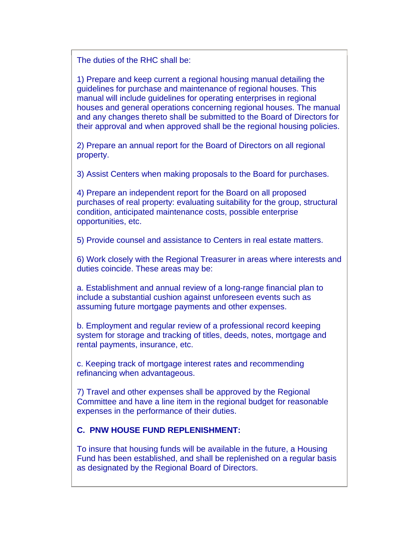The duties of the RHC shall be:

1) Prepare and keep current a regional housing manual detailing the guidelines for purchase and maintenance of regional houses. This manual will include guidelines for operating enterprises in regional houses and general operations concerning regional houses. The manual and any changes thereto shall be submitted to the Board of Directors for their approval and when approved shall be the regional housing policies.

2) Prepare an annual report for the Board of Directors on all regional property.

3) Assist Centers when making proposals to the Board for purchases.

4) Prepare an independent report for the Board on all proposed purchases of real property: evaluating suitability for the group, structural condition, anticipated maintenance costs, possible enterprise opportunities, etc.

5) Provide counsel and assistance to Centers in real estate matters.

6) Work closely with the Regional Treasurer in areas where interests and duties coincide. These areas may be:

a. Establishment and annual review of a long-range financial plan to include a substantial cushion against unforeseen events such as assuming future mortgage payments and other expenses.

b. Employment and regular review of a professional record keeping system for storage and tracking of titles, deeds, notes, mortgage and rental payments, insurance, etc.

c. Keeping track of mortgage interest rates and recommending refinancing when advantageous.

7) Travel and other expenses shall be approved by the Regional Committee and have a line item in the regional budget for reasonable expenses in the performance of their duties.

### **C. PNW HOUSE FUND REPLENISHMENT:**

To insure that housing funds will be available in the future, a Housing Fund has been established, and shall be replenished on a regular basis as designated by the Regional Board of Directors.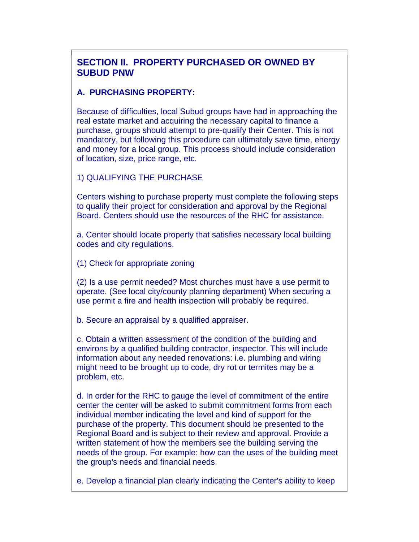# **SECTION II. PROPERTY PURCHASED OR OWNED BY SUBUD PNW**

#### **A. PURCHASING PROPERTY:**

Because of difficulties, local Subud groups have had in approaching the real estate market and acquiring the necessary capital to finance a purchase, groups should attempt to pre-qualify their Center. This is not mandatory, but following this procedure can ultimately save time, energy and money for a local group. This process should include consideration of location, size, price range, etc.

1) QUALIFYING THE PURCHASE

Centers wishing to purchase property must complete the following steps to qualify their project for consideration and approval by the Regional Board. Centers should use the resources of the RHC for assistance.

a. Center should locate property that satisfies necessary local building codes and city regulations.

(1) Check for appropriate zoning

(2) Is a use permit needed? Most churches must have a use permit to operate. (See local city/county planning department) When securing a use permit a fire and health inspection will probably be required.

b. Secure an appraisal by a qualified appraiser.

c. Obtain a written assessment of the condition of the building and environs by a qualified building contractor, inspector. This will include information about any needed renovations: i.e. plumbing and wiring might need to be brought up to code, dry rot or termites may be a problem, etc.

d. In order for the RHC to gauge the level of commitment of the entire center the center will be asked to submit commitment forms from each individual member indicating the level and kind of support for the purchase of the property. This document should be presented to the Regional Board and is subject to their review and approval. Provide a written statement of how the members see the building serving the needs of the group. For example: how can the uses of the building meet the group's needs and financial needs.

e. Develop a financial plan clearly indicating the Center's ability to keep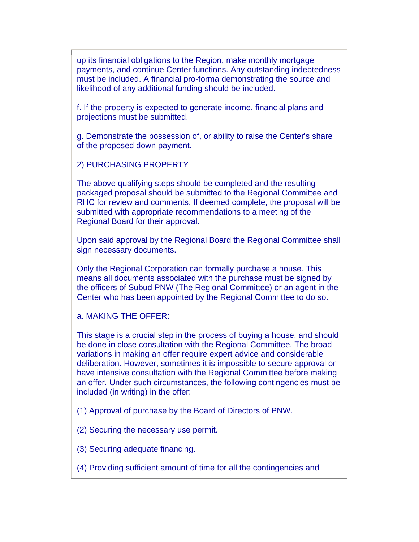up its financial obligations to the Region, make monthly mortgage payments, and continue Center functions. Any outstanding indebtedness must be included. A financial pro-forma demonstrating the source and likelihood of any additional funding should be included.

f. If the property is expected to generate income, financial plans and projections must be submitted.

g. Demonstrate the possession of, or ability to raise the Center's share of the proposed down payment.

2) PURCHASING PROPERTY

The above qualifying steps should be completed and the resulting packaged proposal should be submitted to the Regional Committee and RHC for review and comments. If deemed complete, the proposal will be submitted with appropriate recommendations to a meeting of the Regional Board for their approval.

Upon said approval by the Regional Board the Regional Committee shall sign necessary documents.

Only the Regional Corporation can formally purchase a house. This means all documents associated with the purchase must be signed by the officers of Subud PNW (The Regional Committee) or an agent in the Center who has been appointed by the Regional Committee to do so.

a. MAKING THE OFFER:

This stage is a crucial step in the process of buying a house, and should be done in close consultation with the Regional Committee. The broad variations in making an offer require expert advice and considerable deliberation. However, sometimes it is impossible to secure approval or have intensive consultation with the Regional Committee before making an offer. Under such circumstances, the following contingencies must be included (in writing) in the offer:

(1) Approval of purchase by the Board of Directors of PNW.

(2) Securing the necessary use permit.

(3) Securing adequate financing.

(4) Providing sufficient amount of time for all the contingencies and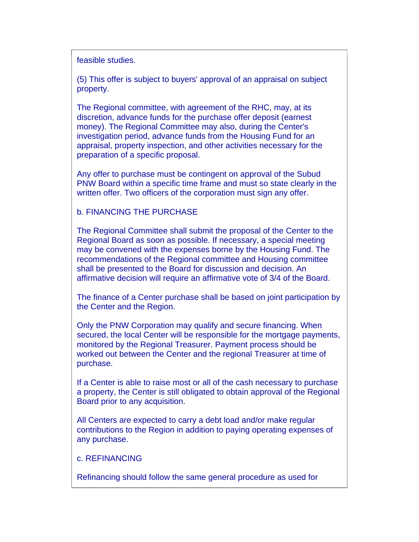feasible studies.

(5) This offer is subject to buyers' approval of an appraisal on subject property.

The Regional committee, with agreement of the RHC, may, at its discretion, advance funds for the purchase offer deposit (earnest money). The Regional Committee may also, during the Center's investigation period, advance funds from the Housing Fund for an appraisal, property inspection, and other activities necessary for the preparation of a specific proposal.

Any offer to purchase must be contingent on approval of the Subud PNW Board within a specific time frame and must so state clearly in the written offer. Two officers of the corporation must sign any offer.

#### b. FINANCING THE PURCHASE

The Regional Committee shall submit the proposal of the Center to the Regional Board as soon as possible. If necessary, a special meeting may be convened with the expenses borne by the Housing Fund. The recommendations of the Regional committee and Housing committee shall be presented to the Board for discussion and decision. An affirmative decision will require an affirmative vote of 3/4 of the Board.

The finance of a Center purchase shall be based on joint participation by the Center and the Region.

Only the PNW Corporation may qualify and secure financing. When secured, the local Center will be responsible for the mortgage payments, monitored by the Regional Treasurer. Payment process should be worked out between the Center and the regional Treasurer at time of purchase.

If a Center is able to raise most or all of the cash necessary to purchase a property, the Center is still obligated to obtain approval of the Regional Board prior to any acquisition.

All Centers are expected to carry a debt load and/or make regular contributions to the Region in addition to paying operating expenses of any purchase.

#### c. REFINANCING

Refinancing should follow the same general procedure as used for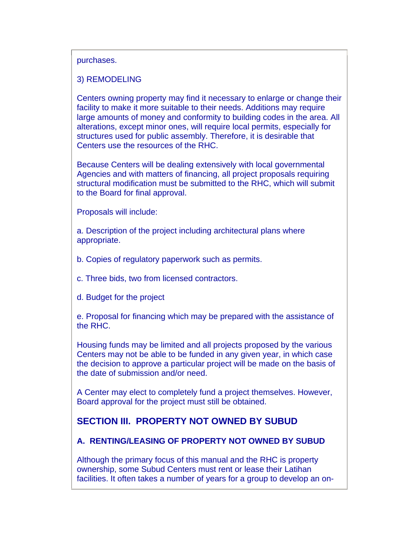#### purchases.

#### 3) REMODELING

Centers owning property may find it necessary to enlarge or change their facility to make it more suitable to their needs. Additions may require large amounts of money and conformity to building codes in the area. All alterations, except minor ones, will require local permits, especially for structures used for public assembly. Therefore, it is desirable that Centers use the resources of the RHC.

Because Centers will be dealing extensively with local governmental Agencies and with matters of financing, all project proposals requiring structural modification must be submitted to the RHC, which will submit to the Board for final approval.

Proposals will include:

a. Description of the project including architectural plans where appropriate.

b. Copies of regulatory paperwork such as permits.

c. Three bids, two from licensed contractors.

d. Budget for the project

e. Proposal for financing which may be prepared with the assistance of the RHC.

Housing funds may be limited and all projects proposed by the various Centers may not be able to be funded in any given year, in which case the decision to approve a particular project will be made on the basis of the date of submission and/or need.

A Center may elect to completely fund a project themselves. However, Board approval for the project must still be obtained.

# **SECTION III. PROPERTY NOT OWNED BY SUBUD**

#### **A. RENTING/LEASING OF PROPERTY NOT OWNED BY SUBUD**

Although the primary focus of this manual and the RHC is property ownership, some Subud Centers must rent or lease their Latihan facilities. It often takes a number of years for a group to develop an on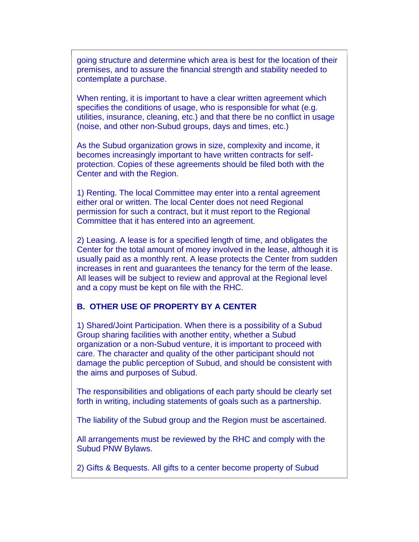going structure and determine which area is best for the location of their premises, and to assure the financial strength and stability needed to contemplate a purchase.

When renting, it is important to have a clear written agreement which specifies the conditions of usage, who is responsible for what (e.g. utilities, insurance, cleaning, etc.) and that there be no conflict in usage (noise, and other non-Subud groups, days and times, etc.)

As the Subud organization grows in size, complexity and income, it becomes increasingly important to have written contracts for selfprotection. Copies of these agreements should be filed both with the Center and with the Region.

1) Renting. The local Committee may enter into a rental agreement either oral or written. The local Center does not need Regional permission for such a contract, but it must report to the Regional Committee that it has entered into an agreement.

2) Leasing. A lease is for a specified length of time, and obligates the Center for the total amount of money involved in the lease, although it is usually paid as a monthly rent. A lease protects the Center from sudden increases in rent and guarantees the tenancy for the term of the lease. All leases will be subject to review and approval at the Regional level and a copy must be kept on file with the RHC.

#### **B. OTHER USE OF PROPERTY BY A CENTER**

1) Shared/Joint Participation. When there is a possibility of a Subud Group sharing facilities with another entity, whether a Subud organization or a non-Subud venture, it is important to proceed with care. The character and quality of the other participant should not damage the public perception of Subud, and should be consistent with the aims and purposes of Subud.

The responsibilities and obligations of each party should be clearly set forth in writing, including statements of goals such as a partnership.

The liability of the Subud group and the Region must be ascertained.

All arrangements must be reviewed by the RHC and comply with the Subud PNW Bylaws.

2) Gifts & Bequests. All gifts to a center become property of Subud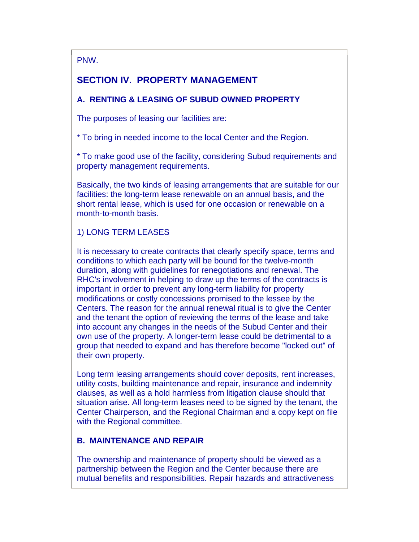PNW.

# **SECTION IV. PROPERTY MANAGEMENT**

### **A. RENTING & LEASING OF SUBUD OWNED PROPERTY**

The purposes of leasing our facilities are:

\* To bring in needed income to the local Center and the Region.

\* To make good use of the facility, considering Subud requirements and property management requirements.

Basically, the two kinds of leasing arrangements that are suitable for our facilities: the long-term lease renewable on an annual basis, and the short rental lease, which is used for one occasion or renewable on a month-to-month basis.

### 1) LONG TERM LEASES

It is necessary to create contracts that clearly specify space, terms and conditions to which each party will be bound for the twelve-month duration, along with guidelines for renegotiations and renewal. The RHC's involvement in helping to draw up the terms of the contracts is important in order to prevent any long-term liability for property modifications or costly concessions promised to the lessee by the Centers. The reason for the annual renewal ritual is to give the Center and the tenant the option of reviewing the terms of the lease and take into account any changes in the needs of the Subud Center and their own use of the property. A longer-term lease could be detrimental to a group that needed to expand and has therefore become "locked out" of their own property.

Long term leasing arrangements should cover deposits, rent increases, utility costs, building maintenance and repair, insurance and indemnity clauses, as well as a hold harmless from litigation clause should that situation arise. All long-term leases need to be signed by the tenant, the Center Chairperson, and the Regional Chairman and a copy kept on file with the Regional committee.

### **B. MAINTENANCE AND REPAIR**

The ownership and maintenance of property should be viewed as a partnership between the Region and the Center because there are mutual benefits and responsibilities. Repair hazards and attractiveness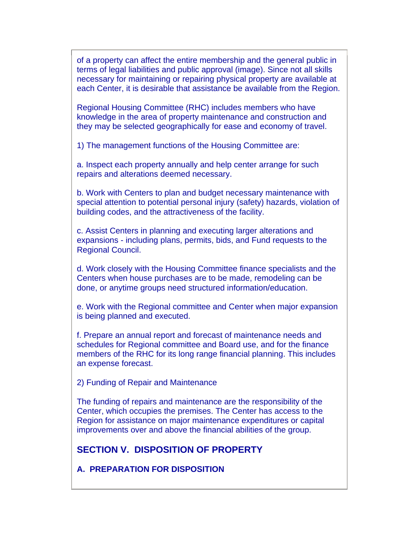of a property can affect the entire membership and the general public in terms of legal liabilities and public approval (image). Since not all skills necessary for maintaining or repairing physical property are available at each Center, it is desirable that assistance be available from the Region.

Regional Housing Committee (RHC) includes members who have knowledge in the area of property maintenance and construction and they may be selected geographically for ease and economy of travel.

1) The management functions of the Housing Committee are:

a. Inspect each property annually and help center arrange for such repairs and alterations deemed necessary.

b. Work with Centers to plan and budget necessary maintenance with special attention to potential personal injury (safety) hazards, violation of building codes, and the attractiveness of the facility.

c. Assist Centers in planning and executing larger alterations and expansions - including plans, permits, bids, and Fund requests to the Regional Council.

d. Work closely with the Housing Committee finance specialists and the Centers when house purchases are to be made, remodeling can be done, or anytime groups need structured information/education.

e. Work with the Regional committee and Center when major expansion is being planned and executed.

f. Prepare an annual report and forecast of maintenance needs and schedules for Regional committee and Board use, and for the finance members of the RHC for its long range financial planning. This includes an expense forecast.

2) Funding of Repair and Maintenance

The funding of repairs and maintenance are the responsibility of the Center, which occupies the premises. The Center has access to the Region for assistance on major maintenance expenditures or capital improvements over and above the financial abilities of the group.

# **SECTION V. DISPOSITION OF PROPERTY**

**A. PREPARATION FOR DISPOSITION**